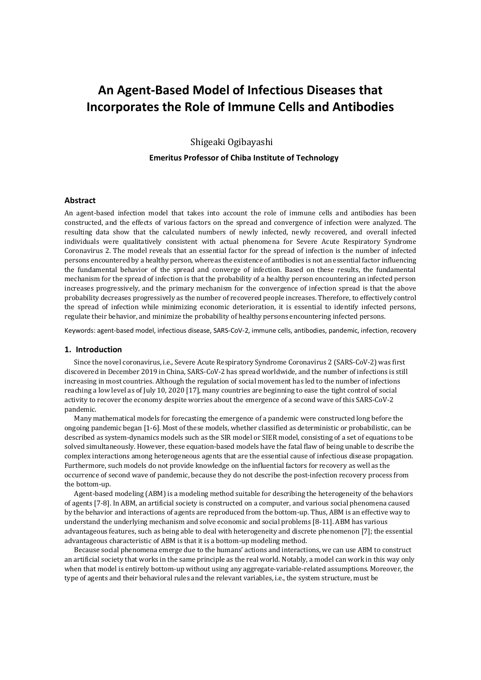# **An Agent-Based Model of Infectious Diseases that Incorporates the Role of Immune Cells and Antibodies**

Shigeaki Ogibayashi **Emeritus Professor of Chiba Institute of Technology**

## **Abstract**

An agent-based infection model that takes into account the role of immune cells and antibodies has been constructed, and the effects of various factors on the spread and convergence of infection were analyzed. The resulting data show that the calculated numbers of newly infected, newly recovered, and overall infected individuals were qualitatively consistent with actual phenomena for Severe Acute Respiratory Syndrome Coronavirus 2. The model reveals that an essential factor for the spread of infection is the number of infected persons encountered by a healthy person, whereas the existence of antibodies is not an essential factor influencing the fundamental behavior of the spread and converge of infection. Based on these results, the fundamental mechanism for the spread of infection is that the probability of a healthy person encountering an infected person increases progressively, and the primary mechanism for the convergence of infection spread is that the above probability decreases progressively as the number of recovered people increases. Therefore, to effectively control the spread of infection while minimizing economic deterioration, it is essential to identify infected persons, regulate their behavior, and minimize the probability of healthy persons encountering infected persons.

Keywords: agent-based model, infectious disease, SARS-CoV-2, immune cells, antibodies, pandemic, infection, recovery

## **1. Introduction**

Since the novel coronavirus, i.e., Severe Acute Respiratory Syndrome Coronavirus 2 (SARS-CoV-2) was first discovered in December 2019 in China, SARS-CoV-2 has spread worldwide, and the number of infections is still increasing in most countries. Although the regulation of social movement has led to the number of infections reaching a low level as of July 10, 2020 [17], many countries are beginning to ease the tight control of social activity to recover the economy despite worries about the emergence of a second wave of this SARS-CoV-2 pandemic.

Many mathematical models for forecasting the emergence of a pandemic were constructed long before the ongoing pandemic began [1-6]. Most of these models, whether classified as deterministic or probabilistic, can be described as system-dynamics models such as the SIR model or SIER model, consisting of a set of equations to be solved simultaneously. However, these equation-based models have the fatal flaw of being unable to describe the complex interactions among heterogeneous agents that are the essential cause of infectious disease propagation. Furthermore, such models do not provide knowledge on the influential factors for recovery as well as the occurrence of second wave of pandemic, because they do not describe the post-infection recovery process from the bottom-up.

Agent-based modeling (ABM) is a modeling method suitable for describing the heterogeneity of the behaviors of agents [7-8]. In ABM, an artificial society is constructed on a computer, and various social phenomena caused by the behavior and interactions of agents are reproduced from the bottom-up. Thus, ABM is an effective way to understand the underlying mechanism and solve economic and social problems [8-11]. ABM has various advantageous features, such as being able to deal with heterogeneity and discrete phenomenon [7]; the essential advantageous characteristic of ABM is that it is a bottom-up modeling method.

Because social phenomena emerge due to the humans' actions and interactions, we can use ABM to construct an artificial society that works in the same principle as the real world. Notably, a model can work in this way only when that model is entirely bottom-up without using any aggregate-variable-related assumptions. Moreover, the type of agents and their behavioral rules and the relevant variables, i.e., the system structure, must be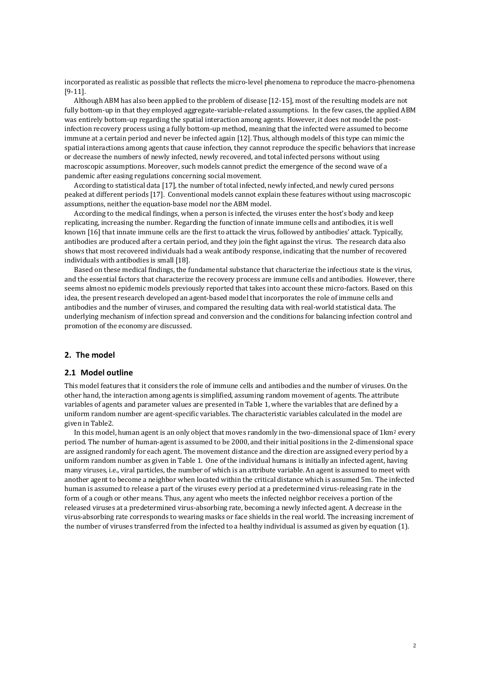incorporated as realistic as possible that reflects the micro-level phenomena to reproduce the macro-phenomena [9-11].

Although ABM has also been applied to the problem of disease [12-15], most of the resulting models are not fully bottom-up in that they employed aggregate-variable-related assumptions. In the few cases, the applied ABM was entirely bottom-up regarding the spatial interaction among agents. However, it does not model the postinfection recovery process using a fully bottom-up method, meaning that the infected were assumed to become immune at a certain period and never be infected again [12]. Thus, although models of this type can mimic the spatial interactions among agents that cause infection, they cannot reproduce the specific behaviors that increase or decrease the numbers of newly infected, newly recovered, and total infected persons without using macroscopic assumptions. Moreover, such models cannot predict the emergence of the second wave of a pandemic after easing regulations concerning social movement.

According to statistical data [17], the number of total infected, newly infected, and newly cured persons peaked at different periods [17]. Conventional models cannot explain these features without using macroscopic assumptions, neither the equation-base model nor the ABM model.

According to the medical findings, when a person is infected, the viruses enter the host's body and keep replicating, increasing the number. Regarding the function of innate immune cells and antibodies, it is well known [16] that innate immune cells are the first to attack the virus, followed by antibodies' attack. Typically, antibodies are produced after a certain period, and they join the fight against the virus. The research data also shows that most recovered individuals had a weak antibody response, indicating that the number of recovered individuals with antibodies is small [18].

Based on these medical findings, the fundamental substance that characterize the infectious state is the virus, and the essential factors that characterize the recovery process are immune cells and antibodies. However, there seems almost no epidemic models previously reported that takes into account these micro-factors. Based on this idea, the present research developed an agent-based model that incorporates the role of immune cells and antibodies and the number of viruses, and compared the resulting data with real-world statistical data. The underlying mechanism of infection spread and conversion and the conditions for balancing infection control and promotion of the economy are discussed.

## **2. The model**

### **2.1 Model outline**

This model features that it considers the role of immune cells and antibodies and the number of viruses. On the other hand, the interaction among agents is simplified, assuming random movement of agents. The attribute variables of agents and parameter values are presented in Table 1, where the variables that are defined by a uniform random number are agent-specific variables. The characteristic variables calculated in the model are given in Table2.

In this model, human agent is an only object that moves randomly in the two-dimensional space of 1km<sup>2</sup> every period. The number of human-agent is assumed to be 2000, and their initial positions in the 2-dimensional space are assigned randomly for each agent. The movement distance and the direction are assigned every period by a uniform random number as given in Table 1. One of the individual humans is initially an infected agent, having many viruses, i.e., viral particles, the number of which is an attribute variable. An agent is assumed to meet with another agent to become a neighbor when located within the critical distance which is assumed 5m. The infected human is assumed to release a part of the viruses every period at a predetermined virus-releasing rate in the form of a cough or other means. Thus, any agent who meets the infected neighbor receives a portion of the released viruses at a predetermined virus-absorbing rate, becoming a newly infected agent. A decrease in the virus-absorbing rate corresponds to wearing masks or face shields in the real world. The increasing increment of the number of viruses transferred from the infected to a healthy individual is assumed as given by equation (1).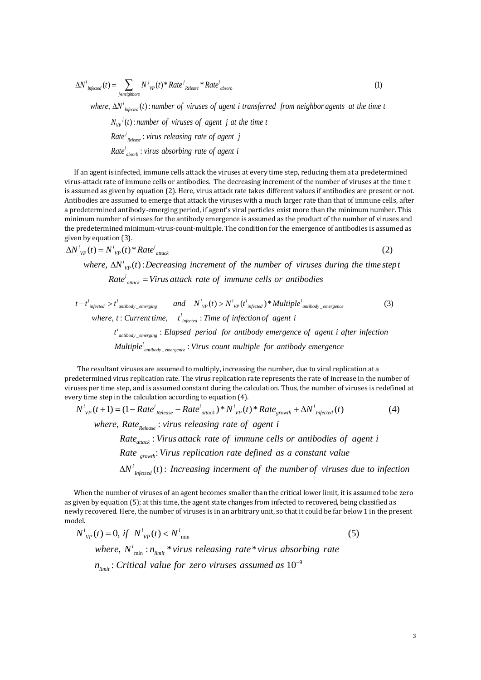$$
\Delta N^{i}_{\text{Infected}}(t) = \sum_{\text{jeneighbors}} N^{j}_{\text{VP}}(t)^{*} Rate^{j}_{\text{Release}} * Rate^{i}_{\text{absorb}}
$$
\n(1)  
\nwhere,  $\Delta N^{i}_{\text{Infected}}(t)$ : number of viruses of agent *i* transferred from neighbor agents at the time *t*  
\n $N_{\text{VP}}^{j}(t)$ : number of viruses of agent *j* at the time *t*

*i Infected*

: *j Release j VP*  $\Delta N^i_{\text{Infected}}(t)$ : number of viruses of agent i<br>  $N_{VP}^i(t)$ : number of viruses of agent j at t<br> *Rate<sup>j</sup>*<sub>Release</sub>: virus releasing rate of agent j : *i absorb*  $N_{vp}^{\quad j}(t)$ : number of viruses of agent j at<br>Rate<sup>j</sup><sub>Release</sub>: virus releasing rate of agent j<br>Rate<sup>i</sup><sub>absorb</sub>: virus absorbing rate of agent i

If an agent is infected, immune cells attack the viruses at every time step, reducing them at a predetermined virus-attack rate of immune cells or antibodies. The decreasing increment of the number of viruses at the time t is assumed as given by equation (2). Here, virus attack rate takes different values if antibodies are present or not. Antibodies are assumed to emerge that attack the viruses with a much larger rate than that of immune cells, after a predetermined antibody-emerging period, if agent's viral particles exist more than the minimum number. This minimum number of viruses for the antibody emergence is assumed as the product of the number of viruses and the predetermined minimum-virus-count-multiple. The condition for the emergence of antibodies is assumed as given by equation (3).<br>  $\Delta N^i_{VP}(t) = N^i_{VP}(t)^* Rate^i_{atack}$  (2) given by equation (3).<br>  $\Delta N^i_{VP}(t) = N^i_{VP}(t)^* Rate^i_{attack}$ a predetermined antibody-emerging period, if agent's viral particles exist more than the minimum number<br>
minimum number of viruses for the antibody emergence is assumed as the product of the number of virus<br>
the predeterm mined minim<br>ation (3).<br> $N^i_{vp}(t) * R^i_{vp}(t)$ :<br> $\Delta N^i_{vp}(t)$ : edetermined minimum-virus-count-multiple. The condition for the emergence of antibodies is assume<br>by equation (3).<br> $P(t) = N^{i}_{VP}(t)^{*} Rate^{i}_{attack}$  (2)<br>where,  $\Delta N^{i}_{VP}(t)$ : Decreasing increment of the number of viruses during the t

$$
\Delta N^{\prime}{}_{VP}(t) = N^{\prime}{}_{VP}(t) * Rate^{\prime}{}_{attack} \tag{2}
$$

*i VP* tion (3).<br>  $N^{i}_{VP}(t) * Rate^{i}_{attack}$ <br>  $\Delta N^{i}_{VP}(t)$ : Decreasing increment of the number of viruses Rate<sup>i</sup><sub>attack</sub> = Virus attack rate of immune cells or antibodies  $\Delta N^i_{\quad VP}(t)$ : Decreasing increment of the number of viruses during the time step<br>
Rate<sup>i</sup><sub>attack</sub> = Virus attack rate of immune cells or antibodies<br>
> t<sup>i</sup><sub>antibody\_emerging</sub> and  $N^i_{VP}(t) > N^i_{VP}(t^i_{injected})^*$ Multiple<sup>i</sup><sub>an</sub> *where,*  $\Delta N'_{VP}(t)$ : Decreasing increment of the number of v<br>  $Rate^i_{attack} = Virus \text{ attack rate of immune cells or anti-  
\n $t - t^i_{infected} > t^i_{antibody\_emerging}$  and  $N^i_{VP}(t) > N^i_{VP}(t^i_{infected}) * Multiple$$ where,  $\Delta N^{\dagger}{}_{VP}(t)$ : Decreasing increment of the numble<br>  $Rate^i_{attack}$  = Virus attack rate of immune cells<br>  $-t^i_{infected} > t^i_{antibody\_emerging}$  and  $N^i{}_{VP}(t) > N^i{}_{VP}(t^i_{infected})^*$ 

Rate<sup>*i*</sup><sub>attack</sub> = Virus attack rate of immune cells or antibodies  
\n
$$
t - t^i_{infected} > t^i_{antibody\_emerging}
$$
 and  $N^i_{VP}(t) > N^i_{VP}(t^i_{infected}) * Multiple^i_{antibody\_emergence}$  (3)  
\nwhere, t: Current time,  $t^i_{infected}$ : Time of infection of agent i  
\n $t^i_{antibody\_emerging}$ : Elapsed period for antibody emergence of agent i after infection  
\nMultiple<sup>*i*</sup><sub>antibody\_emergence</sub> : Virus count multiple for antibody emergence

 The resultant viruses are assumed to multiply, increasing the number, due to viral replication at a predetermined virus replication rate. The virus replication rate represents the rate of increase in the number of viruses per time step, and is assumed constant during the calculation. Thus, the number of viruses is redefined at resultant viruses are assumed to multiply, increasing the number, due to viral replication at a<br>mined virus replication rate. The virus replication rate represents the rate of increase in the numbe<br>er time step, and is as step, and is as:<br>
n the calculation<br>  $=(1 - Rate^{i}_{R_{R_{\text{rel-}}}})$ <br>  $(1 - Rate^{i}_{R_{\text{rel-}}})$ is per time step, and is assumed constant during the calculation. Thus, the nome step in the calculation according to equation (4).<br>  $\frac{i}{VP}(t+1) = (1 - Rate^i_{\text{ Release}} - Rate^i_{\text{ attack}}) * N^i_{\text{VP}}(t) * Rate_{\text{growth}} + \Delta N^i$ The resultant viruses are assumed to multiply, increasing the number, due to viral replicate determined virus replication rate. The virus replication rate represents the rate of increase sees per time step, and is assumed Frequence time step, and is assumed constant during the calculation<br>  $e$  step in the calculation according to equation (4).<br>  $(t+1) = (1 - Rate^{i}_{\text{Release}} - Rate^{i}_{\text{attack}}) * N^{i}_{\text{VP}}(t) * Rate_{g}$ <br>
where, Rate<sub>Release</sub>: virus releasing rate of

For uses per time step, and is assumed constant during the calculation. Thus, the number of viruses is relevant every time step in the calculation according to equation (4).

\n
$$
N^i_{VP}(t+1) = (1 - Rate^i_{\text{Relasse}} - Rate^i_{\text{attack}})^* N^i_{VP}(t)^* Rate_{growth} + \Delta N^i_{\text{Infected}}(t) \tag{4}
$$

*Release*

: *attack* : *growth Rate*  $R$ <sub>*Release* - *Rate<sup>i</sup>*<sub>*attack*</sub>  $\times$  *N<sup>i</sup>*<sub>*VP</sub>* (*t*)  $\times$  *Rate*<sub>*growth*</sub>  $\times$  *AN<sup><i>i*</sup></sup>*Infected*</sub> (*t*)  $R$ *Rate*<sub>*Release*  $\times$  *Virus releasing rate of agent i*<br>*Rate*<sub>*attack*</sub>  $\times$  *Virus attack rate </sub></sub>*</sub> *Rate*<sub>Release</sub> *Properties Rate*<sub>Release</sub> *i virus releasing rate of agent i*<br> *Rate*<sub>atiack</sub> *i Virus attack rate of immune cells or antibodies of*<br> *Rate*<sub>growth</sub> *Virus replication rate defined as a constant val* (*Release*<br>  $e_{attack}$  :  $Vi\overline{v}_{growth}$ <br>  $\overline{v}_{growth}$  :  $Vi\overline{v}_{infected}$ <br>  $\overline{v}_{infected}$  (**t**) : *Nate<sub>atiack</sub>*: *Virus attack rate of immune cells or antibodies of agent i*<br>*Rate*<sub>growth</sub>: *Virus replication rate defined as a constant value*<br> $\Delta N^i_{\text{Infected}}(t)$ : *Increasing incerment of the number of viruses due to in* 

*Infected*

When the number of viruses of an agent becomes smaller than the critical lower limit, it is assumed to be zero as given by equation (5); at this time, the agent state changes from infected to recovered, being classified as newly recovered. Here, the number of viruses is in an arbitrary unit, so that it could be far below 1 in the present model. by equation (5); at this time, the agent state changes from infected to recovered, being covered. Here, the number of viruses is in an arbitrary unit, so that it could be far belov<br>  $\chi(t) = 0$ , if  $N^i_{vp}(t) < N^i_{\min}$  (5) recovered. Here, the number of<br> *i*<sub>*v<sub>p</sub>*</sub> (*t*) = 0, *if*  $N^{i}_{vp}(t) < N^{i}$ iven by equation (5); at this time, the agent<br>*N*ly recovered. Here, the number of viruses is<br>del.<br> $N^i_{\;\;VP}(t) = 0, \; if \; \; N^i_{\;\;VP}(t) < N^i_{\;\;min}$ 

min min 9 , : \* \* : 10 *VP VP i limit limit where N n virus releasing rate virus absorbing rate n Critical value for zero viruses assumed as* <sup>−</sup>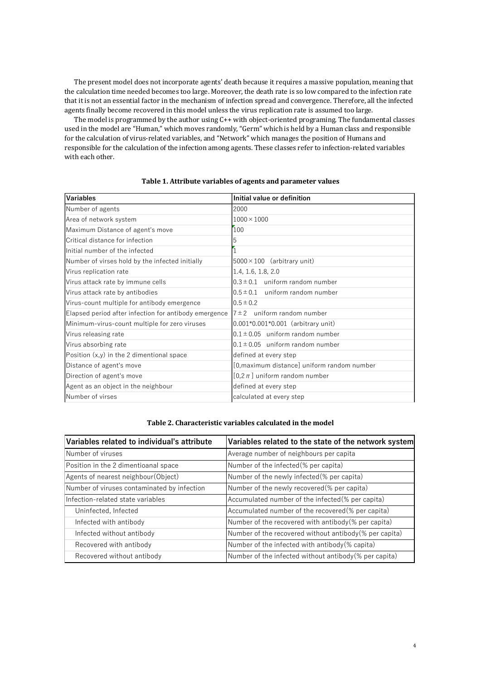The present model does not incorporate agents' death because it requires a massive population, meaning that the calculation time needed becomes too large. Moreover, the death rate is so low compared to the infection rate that it is not an essential factor in the mechanism of infection spread and convergence. Therefore, all the infected agents finally become recovered in this model unless the virus replication rate is assumed too large.

The model is programmed by the author using C++ with object-oriented programing. The fundamental classes used in the model are "Human," which moves randomly, "Germ" which is held by a Human class and responsible for the calculation of virus-related variables, and "Network" which manages the position of Humans and responsible for the calculation of the infection among agents. These classes refer to infection-related variables with each other.

| <b>Variables</b>                                      | Initial value or definition                 |
|-------------------------------------------------------|---------------------------------------------|
| Number of agents                                      | 2000                                        |
| Area of network system                                | $1000 \times 1000$                          |
| Maximum Distance of agent's move                      | 100                                         |
| Critical distance for infection                       | 5                                           |
| Initial number of the infected                        |                                             |
| Number of virses hold by the infected initially       | $5000 \times 100$ (arbitrary unit)          |
| Virus replication rate                                | 1.4, 1.6, 1.8, 2.0                          |
| Virus attack rate by immune cells                     | $0.3 \pm 0.1$ uniform random number         |
| Virus attack rate by antibodies                       | $0.5 \pm 0.1$ uniform random number         |
| Virus-count multiple for antibody emergence           | $0.5 \pm 0.2$                               |
| Elapsed period after infection for antibody emergence | $7\pm2$ uniform random number               |
| Minimum-virus-count multiple for zero viruses         | $0.001*0.001*0.001$ (arbitrary unit)        |
| Virus releasing rate                                  | $0.1 \pm 0.05$ uniform random number        |
| Virus absorbing rate                                  | $0.1 \pm 0.05$ uniform random number        |
| Position $(x,y)$ in the 2 dimentional space           | defined at every step                       |
| Distance of agent's move                              | [0, maximum distance] uniform random number |
| Direction of agent's move                             | $[0,2\pi]$ uniform random number            |
| Agent as an object in the neighbour                   | defined at every step                       |
| Number of virses                                      | calculated at every step                    |

## **Table 1. Attribute variables of agents and parameter values**

#### **Table 2. Characteristic variables calculated in the model**

| Variables related to individual's attribute | Variables related to the state of the network system     |
|---------------------------------------------|----------------------------------------------------------|
| Number of viruses                           | Average number of neighbours per capita                  |
| Position in the 2 dimentioanal space        | Number of the infected (% per capita)                    |
| Agents of nearest neighbour (Object)        | Number of the newly infected (% per capita)              |
| Number of viruses contaminated by infection | Number of the newly recovered (% per capita)             |
| Infection-related state variables           | Accumulated number of the infected(% per capita)         |
| Uninfected, Infected                        | Accumulated number of the recovered (% per capita)       |
| Infected with antibody                      | Number of the recovered with antibody (% per capita)     |
| Infected without antibody                   | Number of the recovered without antibody $%$ per capita) |
| Recovered with antibody                     | Number of the infected with antibody (% capita)          |
| Recovered without antibody                  | Number of the infected without antibody (% per capita)   |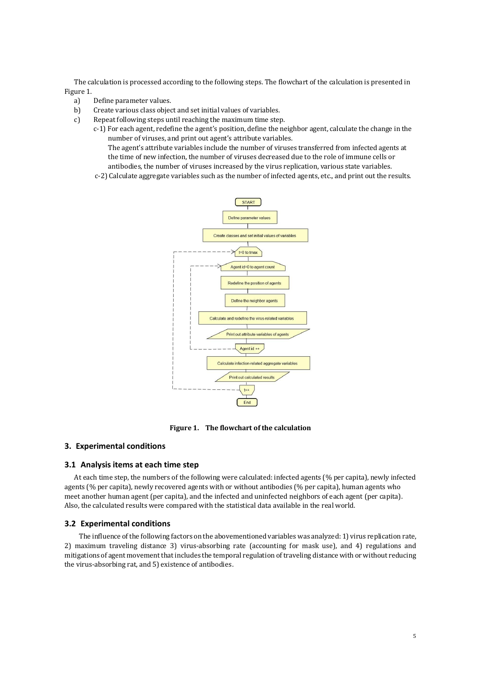The calculation is processed according to the following steps. The flowchart of the calculation is presented in Figure 1.

- a) Define parameter values.
- b) Create various class object and set initial values of variables.
- c) Repeat following steps until reaching the maximum time step.
	- c-1) For each agent, redefine the agent's position, define the neighbor agent, calculate the change in the number of viruses, and print out agent's attribute variables.

The agent's attribute variables include the number of viruses transferred from infected agents at the time of new infection, the number of viruses decreased due to the role of immune cells or antibodies, the number of viruses increased by the virus replication, various state variables.

c-2) Calculate aggregate variables such as the number of infected agents, etc., and print out the results.



**Figure 1. The flowchart of the calculation**

## **3. Experimental conditions**

#### **3.1 Analysis items at each time step**

At each time step, the numbers of the following were calculated: infected agents (% per capita), newly infected agents (% per capita), newly recovered agents with or without antibodies (% per capita), human agents who meet another human agent (per capita), and the infected and uninfected neighbors of each agent (per capita). Also, the calculated results were compared with the statistical data available in the real world.

#### **3.2 Experimental conditions**

The influence of the following factors on the abovementioned variables was analyzed: 1) virus replication rate, 2) maximum traveling distance 3) virus-absorbing rate (accounting for mask use), and 4) regulations and mitigations of agent movementthat includes the temporal regulation of traveling distance with or without reducing the virus-absorbing rat, and 5) existence of antibodies.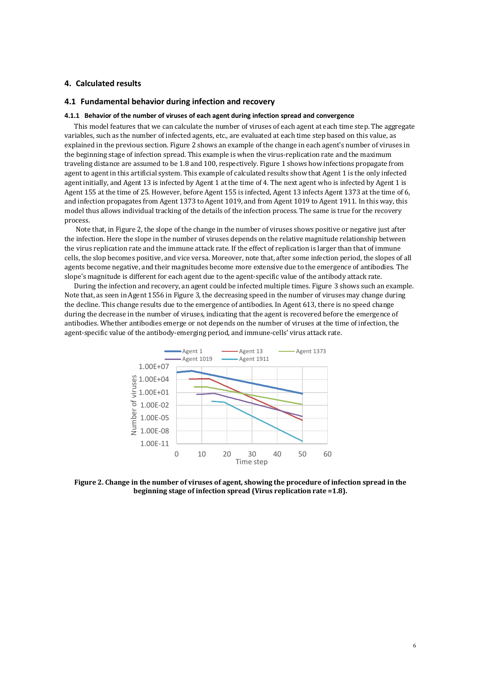## **4. Calculated results**

## **4.1 Fundamental behavior during infection and recovery**

#### **4.1.1 Behavior of the number of viruses of each agent during infection spread and convergence**

This model features that we can calculate the number of viruses of each agent at each time step. The aggregate variables, such as the number of infected agents, etc., are evaluated at each time step based on this value, as explained in the previous section. Figure 2 shows an example of the change in each agent's number of viruses in the beginning stage of infection spread. This example is when the virus-replication rate and the maximum traveling distance are assumed to be 1.8 and 100, respectively. Figure 1 shows how infections propagate from agent to agent in this artificial system. This example of calculated results show that Agent 1 is the only infected agent initially, and Agent 13 is infected by Agent 1 at the time of 4. The next agent who is infected by Agent 1 is Agent 155 at the time of 25. However, before Agent 155 is infected, Agent 13 infects Agent 1373 at the time of 6, and infection propagates from Agent 1373 to Agent 1019, and from Agent 1019 to Agent 1911. In this way, this model thus allows individual tracking of the details of the infection process. The same is true for the recovery process.

Note that, in Figure 2, the slope of the change in the number of viruses shows positive or negative just after the infection. Here the slope in the number of viruses depends on the relative magnitude relationship between the virus replication rate and the immune attack rate. If the effect of replication is larger than that of immune cells, the slop becomes positive, and vice versa. Moreover, note that, after some infection period, the slopes of all agents become negative, and their magnitudes become more extensive due to the emergence of antibodies. The slope's magnitude is different for each agent due to the agent-specific value of the antibody attack rate.

During the infection and recovery, an agent could be infected multiple times. Figure 3 shows such an example. Note that, as seen in Agent 1556 in Figure 3, the decreasing speed in the number of viruses may change during the decline. This change results due to the emergence of antibodies. In Agent 613, there is no speed change during the decrease in the number of viruses, indicating that the agent is recovered before the emergence of antibodies. Whether antibodies emerge or not depends on the number of viruses at the time of infection, the agent-specific value of the antibody-emerging period, and immune-cells' virus attack rate.



**Figure 2. Change in the number of viruses of agent, showing the procedure of infection spread in the beginning stage of infection spread (Virus replication rate =1.8).**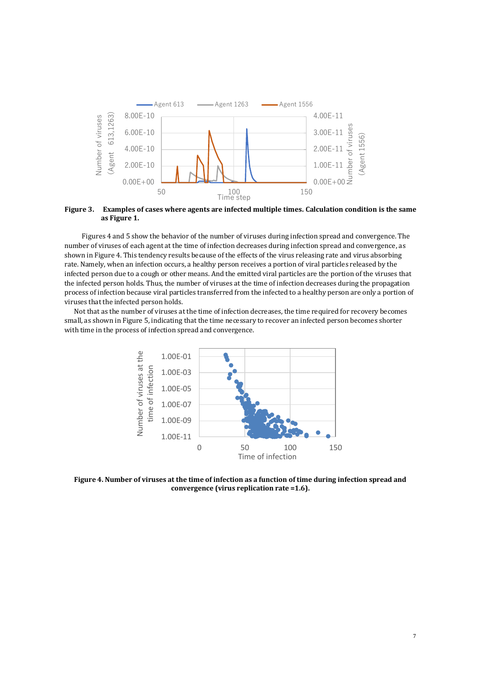

**Figure 3. Examples of cases where agents are infected multiple times. Calculation condition is the same as Figure 1.**

 Figures 4 and 5 show the behavior of the number of viruses during infection spread and convergence. The number of viruses of each agent at the time of infection decreases during infection spread and convergence, as shown in Figure 4. This tendency results because of the effects of the virus releasing rate and virus absorbing rate. Namely, when an infection occurs, a healthy person receives a portion of viral particles released by the infected person due to a cough or other means. And the emitted viral particles are the portion of the viruses that the infected person holds. Thus, the number of viruses at the time of infection decreases during the propagation process of infection because viral particles transferred from the infected to a healthy person are only a portion of viruses that the infected person holds.

Not that as the number of viruses at the time of infection decreases, the time required for recovery becomes small, as shown in Figure 5, indicating that the time necessary to recover an infected person becomes shorter with time in the process of infection spread and convergence.



**Figure 4. Number of viruses at the time of infection as a function of time during infection spread and convergence (virus replication rate =1.6).**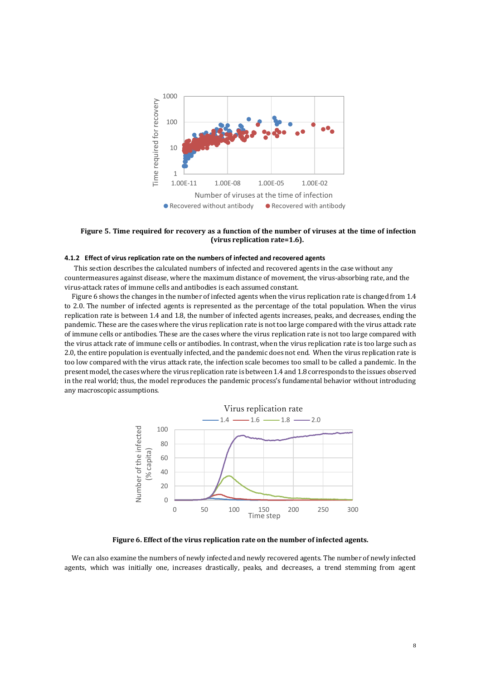

#### **Figure 5. Time required for recovery as a function of the number of viruses at the time of infection (virus replication rate=1.6).**

#### **4.1.2 Effect of virus replication rate on the numbers of infected and recovered agents**

This section describes the calculated numbers of infected and recovered agents in the case without any countermeasures against disease, where the maximum distance of movement, the virus-absorbing rate, and the virus-attack rates of immune cells and antibodies is each assumed constant.

Figure 6 shows the changes in the number of infected agents when the virus replication rate is changed from 1.4 to 2.0. The number of infected agents is represented as the percentage of the total population. When the virus replication rate is between 1.4 and 1.8, the number of infected agents increases, peaks, and decreases, ending the pandemic. These are the cases where the virus replication rate is not too large compared with the virus attack rate of immune cells or antibodies. These are the cases where the virus replication rate is not too large compared with the virus attack rate of immune cells or antibodies. In contrast, when the virus replication rate is too large such as 2.0, the entire population is eventually infected, and the pandemic does not end. When the virus replication rate is too low compared with the virus attack rate, the infection scale becomes too small to be called a pandemic. In the present model, the cases where the virus replication rate is between 1.4 and 1.8 corresponds to the issues observed in the real world; thus, the model reproduces the pandemic process's fundamental behavior without introducing any macroscopic assumptions.



**Figure 6. Effect of the virus replication rate on the number of infected agents.**

We can also examine the numbers of newly infected and newly recovered agents. The number of newly infected agents, which was initially one, increases drastically, peaks, and decreases, a trend stemming from agent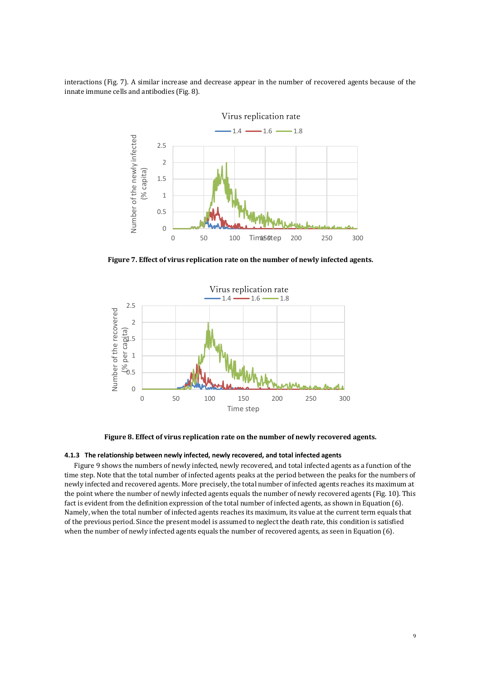interactions (Fig. 7). A similar increase and decrease appear in the number of recovered agents because of the innate immune cells and antibodies (Fig. 8).



**Figure 7. Effect of virus replication rate on the number of newly infected agents.**



**Figure 8. Effect of virus replication rate on the number of newly recovered agents.**

#### **4.1.3 The relationship between newly infected, newly recovered, and total infected agents**

Figure 9 shows the numbers of newly infected, newly recovered, and total infected agents as a function of the time step. Note that the total number of infected agents peaks at the period between the peaks for the numbers of newly infected and recovered agents. More precisely, the total number of infected agents reaches its maximum at the point where the number of newly infected agents equals the number of newly recovered agents (Fig. 10). This fact is evident from the definition expression of the total number of infected agents, as shown in Equation (6). Namely, when the total number of infected agents reaches its maximum, its value at the current term equals that of the previous period. Since the present model is assumed to neglect the death rate, this condition is satisfied when the number of newly infected agents equals the number of recovered agents, as seen in Equation (6).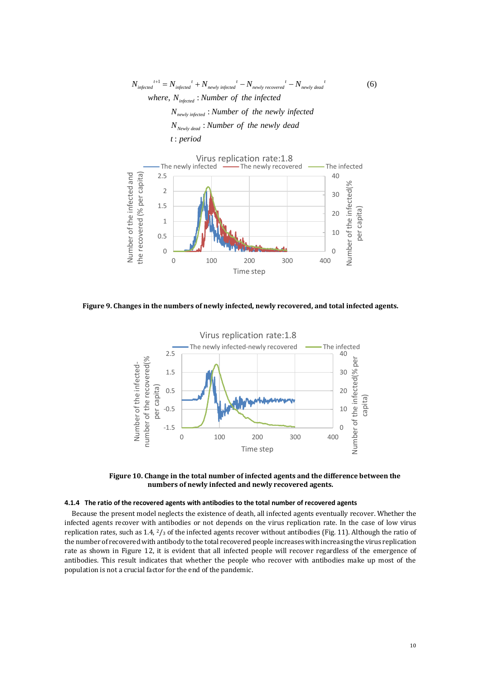1 (6)  $N_{\text{infected}}^{t+1} = N_{\text{infected}}^t + N_{\text{newly infected}}^t - N_{\text{newly recovered}}^t - N_{\text{newly dead}}^t$ <br>
where,  $N_{\text{infected}}$ : Number of the infected  $N_{\text{infected}}' + N_{\text{newly infected}}' - N_{\text{newly recovered}}' - N_{\text{newly}}$ <br>  $N_{\text{infected}}$ : Number of the infected<br>  $N_{\text{newly infected}}$ : Number of the newly infected  $N_{\mathit{newly infected}} \: \: N_{\mathit{Newly dead}}: \: t: period$ t: period *where,*  $N_{\text{infected}}$ : *Number* of the infected  $w_{\text{red}}^{t+1} = N_{\text{infected}}^{t} + N_{\text{newly infected}}^{t} - N_{\text{newly recovered}}$ <br>where,  $N_{\text{infected}}$ : Number of the infected *N*<sub>infected</sub> : *Number of the infected*<br>*N<sub>newly infected* : *Number of the newly infe*<br>*N<sub>Newly dead* : *Number of the newly dead*</sub></sub>  $t^{-1} = N_{\text{infect}}^{\ \ t} + N_{\text{newly infected}}^{\ \ t} - N_{\text{newly recovered}}^{\ \ t} - N_{\text{newly dead}}^{\ \ t}$ 



**Figure 9. Changes in the numbers of newly infected, newly recovered, and total infected agents.**



 **Figure 10. Change in the total number of infected agents and the difference between the numbers of newly infected and newly recovered agents.**

#### **4.1.4 The ratio of the recovered agents with antibodies to the total number of recovered agents**

Because the present model neglects the existence of death, all infected agents eventually recover. Whether the infected agents recover with antibodies or not depends on the virus replication rate. In the case of low virus replication rates, such as 1.4, 2/<sup>3</sup> of the infected agents recover without antibodies (Fig. 11). Although the ratio of the number of recovered with antibody to the total recovered people increases with increasing the virus replication rate as shown in Figure 12, it is evident that all infected people will recover regardless of the emergence of antibodies. This result indicates that whether the people who recover with antibodies make up most of the population is not a crucial factor for the end of the pandemic.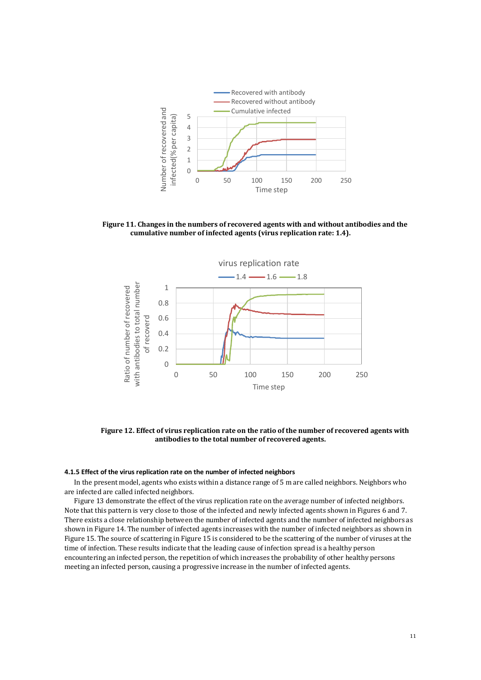

 **Figure 11. Changes in the numbers of recovered agents with and without antibodies and the cumulative number of infected agents (virus replication rate: 1.4).**



 **Figure 12. Effect of virus replication rate on the ratio of the number of recovered agents with antibodies to the total number of recovered agents.**

## **4.1.5 Effect of the virus replication rate on the number of infected neighbors**

In the present model, agents who exists within a distance range of 5 m are called neighbors. Neighbors who are infected are called infected neighbors.

Figure 13 demonstrate the effect of the virus replication rate on the average number of infected neighbors. Note that this pattern is very close to those of the infected and newly infected agents shown in Figures 6 and 7. There exists a close relationship between the number of infected agents and the number of infected neighbors as shown in Figure 14. The number of infected agents increases with the number of infected neighbors as shown in Figure 15. The source of scattering in Figure 15 is considered to be the scattering of the number of viruses at the time of infection. These results indicate that the leading cause of infection spread is a healthy person encountering an infected person, the repetition of which increases the probability of other healthy persons meeting an infected person, causing a progressive increase in the number of infected agents.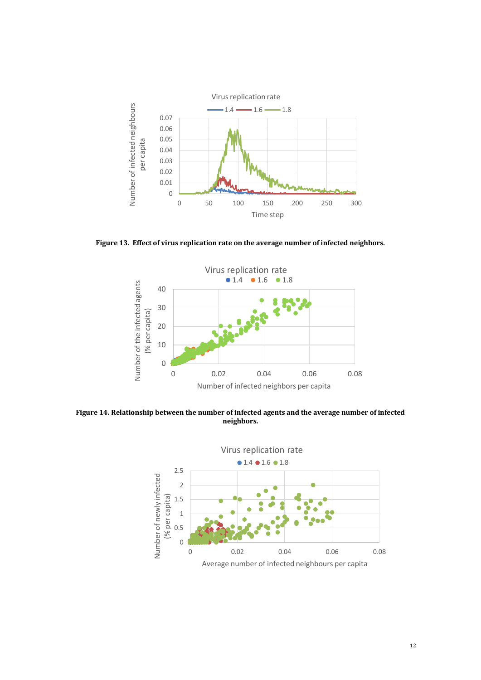

**Figure 13. Effect of virus replication rate on the average number of infected neighbors.**



**Figure 14. Relationship between the number of infected agents and the average number of infected neighbors.**

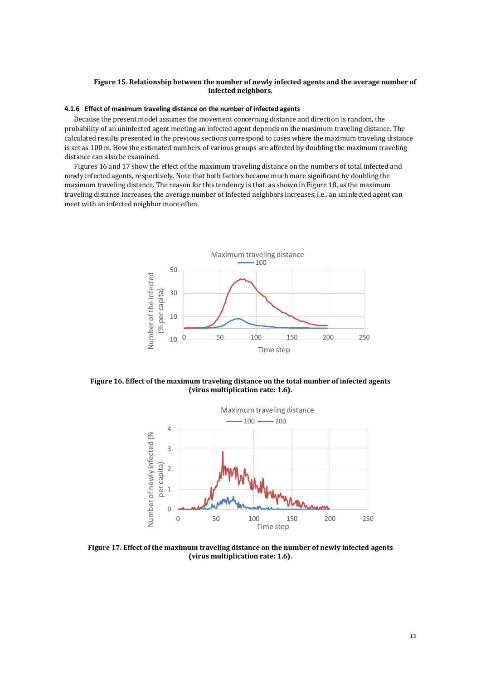#### **Figure 15. Relationship between the number of newly infected agents and the average number of infected neighbors.**

#### **4.1.6 Effect of maximum traveling distance on the number of infected agents**

Because the present model assumes the movement concerning distance and direction is random, the probability of an uninfected agent meeting an infected agent depends on the maximum traveling distance. The calculated results presented in the previous sections correspond to cases where the maximum traveling distance is set as 100 m. How the estimated numbers of various groups are affected by doubling the maximum traveling distance can also be examined.

Figures 16 and 17 show the effect of the maximum traveling distance on the numbers of total infected and newly infected agents, respectively. Note that both factors became much more significant by doubling the maximum traveling distance. The reason for this tendency is that, as shown in Figure 18, as the maximum traveling distance increases, the average number of infected neighbors increases, i.e., an uninfected agent can meet with an infected neighbor more often.



**Figure 16. Effect of the maximum traveling distance on the total number of infected agents (virus multiplication rate: 1.6).**



**Figure 17. Effect of the maximum traveling distance on the number of newly infected agents (virus multiplication rate: 1.6).**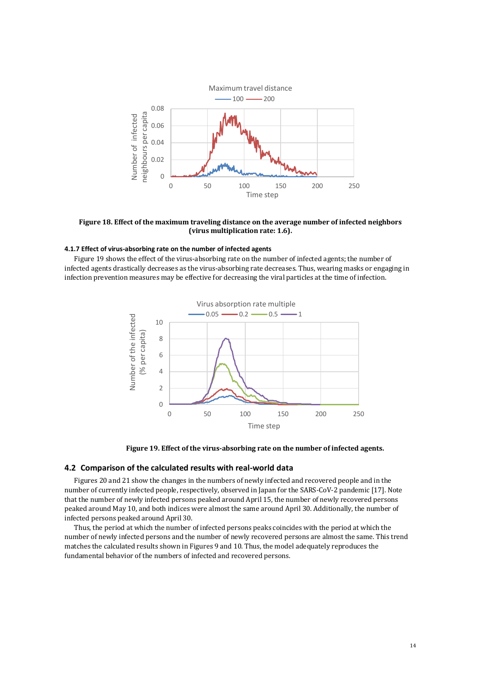

**Figure 18. Effect of the maximum traveling distance on the average number of infected neighbors (virus multiplication rate: 1.6).**

#### **4.1.7 Effect of virus-absorbing rate on the number of infected agents**

Figure 19 shows the effect of the virus-absorbing rate on the number of infected agents; the number of infected agents drastically decreases as the virus-absorbing rate decreases. Thus, wearing masks or engaging in infection prevention measures may be effective for decreasing the viral particles at the time of infection.



**Figure 19. Effect of the virus-absorbing rate on the number of infected agents.**

## **4.2 Comparison of the calculated results with real-world data**

Figures 20 and 21 show the changes in the numbers of newly infected and recovered people and in the number of currently infected people, respectively, observed in Japan for the SARS-CoV-2 pandemic [17]. Note that the number of newly infected persons peaked around April 15, the number of newly recovered persons peaked around May 10, and both indices were almost the same around April 30. Additionally, the number of infected persons peaked around April 30.

Thus, the period at which the number of infected persons peaks coincides with the period at which the number of newly infected persons and the number of newly recovered persons are almost the same. This trend matches the calculated results shown in Figures 9 and 10. Thus, the model adequately reproduces the fundamental behavior of the numbers of infected and recovered persons.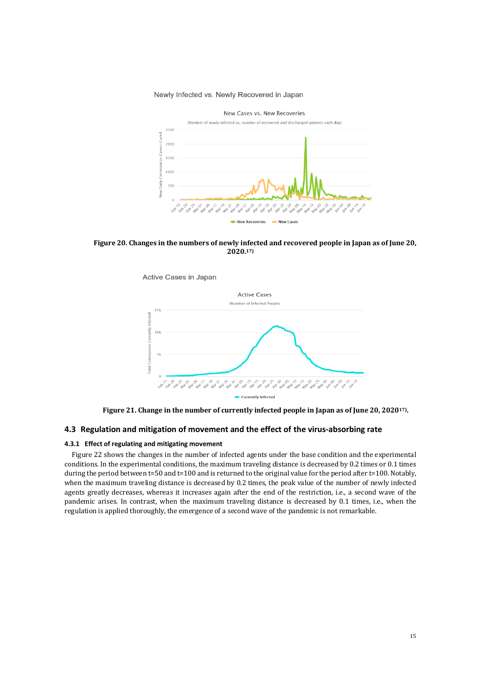#### Newly Infected vs. Newly Recovered in Japan



 **Figure 20. Changes in the numbers of newly infected and recovered people in Japan as of June 20, 2020.17)**



**Figure 21. Change in the number of currently infected people in Japan as of June 20, 202017) .**

## **4.3 Regulation and mitigation of movement and the effect of the virus-absorbing rate**

#### **4.3.1 Effect of regulating and mitigating movement**

Figure 22 shows the changes in the number of infected agents under the base condition and the experimental conditions. In the experimental conditions, the maximum traveling distance is decreased by 0.2 times or 0.1 times during the period between  $t=50$  and  $t=100$  and is returned to the original value for the period after  $t=100$ . Notably, when the maximum traveling distance is decreased by 0.2 times, the peak value of the number of newly infected agents greatly decreases, whereas it increases again after the end of the restriction, i.e., a second wave of the pandemic arises. In contrast, when the maximum traveling distance is decreased by 0.1 times, i.e., when the regulation is applied thoroughly, the emergence of a second wave of the pandemic is not remarkable.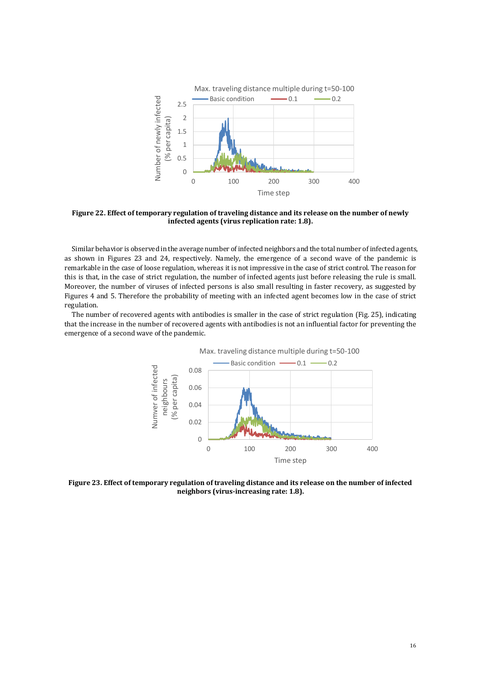

**Figure 22. Effect of temporary regulation of traveling distance and its release on the number of newly infected agents (virus replication rate: 1.8).**

Similar behavior is observed in the average number of infected neighbors and the total number of infected agents, as shown in Figures 23 and 24, respectively. Namely, the emergence of a second wave of the pandemic is remarkable in the case of loose regulation, whereas it is not impressive in the case of strict control. The reason for this is that, in the case of strict regulation, the number of infected agents just before releasing the rule is small. Moreover, the number of viruses of infected persons is also small resulting in faster recovery, as suggested by Figures 4 and 5. Therefore the probability of meeting with an infected agent becomes low in the case of strict regulation.

The number of recovered agents with antibodies is smaller in the case of strict regulation (Fig. 25), indicating that the increase in the number of recovered agents with antibodies is not an influential factor for preventing the emergence of a second wave of the pandemic.



**Figure 23. Effect of temporary regulation of traveling distance and its release on the number of infected neighbors (virus-increasing rate: 1.8).**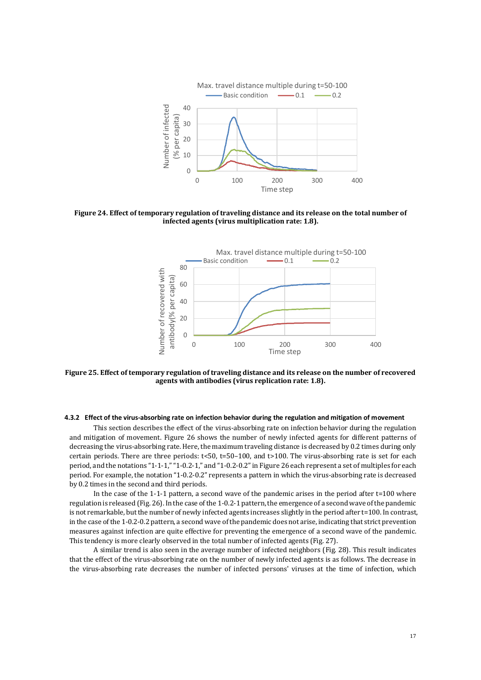

**Figure 24. Effect of temporary regulation of traveling distance and its release on the total number of infected agents (virus multiplication rate: 1.8).**



**Figure 25. Effect of temporary regulation of traveling distance and its release on the number of recovered agents with antibodies (virus replication rate: 1.8).**

#### **4.3.2 Effect of the virus-absorbing rate on infection behavior during the regulation and mitigation of movement**

This section describes the effect of the virus-absorbing rate on infection behavior during the regulation and mitigation of movement. Figure 26 shows the number of newly infected agents for different patterns of decreasing the virus-absorbing rate. Here, the maximum traveling distance is decreased by 0.2 times during only certain periods. There are three periods:  $t \le 50$ ,  $t = 50-100$ , and  $t > 100$ . The virus-absorbing rate is set for each period, and the notations "1-1-1," "1-0.2-1," and "1-0.2-0.2"in Figure 26 each represent a set of multiples for each period. For example, the notation "1-0.2-0.2" represents a pattern in which the virus-absorbing rate is decreased by 0.2 times in the second and third periods.

In the case of the 1-1-1 pattern, a second wave of the pandemic arises in the period after t=100 where regulation is released (Fig. 26). In the case of the 1-0.2-1 pattern, the emergence of a second wave of the pandemic is not remarkable, but the number of newly infected agents increases slightly in the period after t=100. In contrast, in the case of the 1-0.2-0.2 pattern, a second wave of the pandemic does not arise, indicating that strict prevention measures against infection are quite effective for preventing the emergence of a second wave of the pandemic. This tendency is more clearly observed in the total number of infected agents (Fig. 27).

A similar trend is also seen in the average number of infected neighbors (Fig. 28). This result indicates that the effect of the virus-absorbing rate on the number of newly infected agents is as follows. The decrease in the virus-absorbing rate decreases the number of infected persons' viruses at the time of infection, which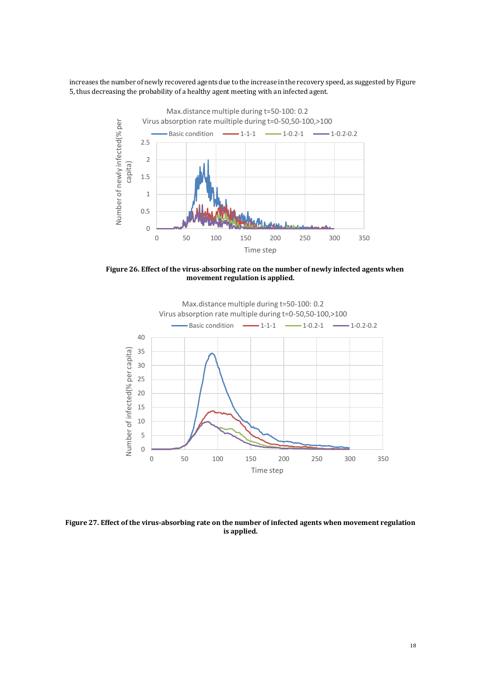increases the number of newly recovered agents due to the increase in the recovery speed, as suggested by Figure 5, thus decreasing the probability of a healthy agent meeting with an infected agent.



 **Figure 26. Effect of the virus-absorbing rate on the number of newly infected agents when movement regulation is applied.**



**Figure 27. Effect of the virus-absorbing rate on the number of infected agents when movement regulation is applied.**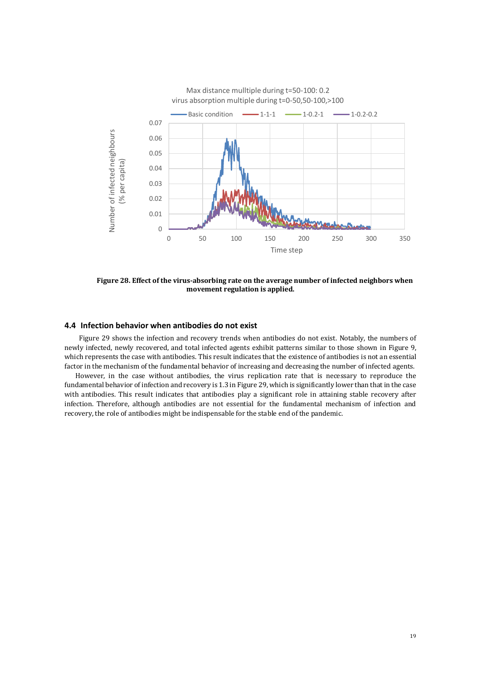

 **Figure 28. Effect of the virus-absorbing rate on the average number of infected neighbors when movement regulation is applied.**

## **4.4 Infection behavior when antibodies do not exist**

Figure 29 shows the infection and recovery trends when antibodies do not exist. Notably, the numbers of newly infected, newly recovered, and total infected agents exhibit patterns similar to those shown in Figure 9, which represents the case with antibodies. This result indicates that the existence of antibodies is not an essential factor in the mechanism of the fundamental behavior of increasing and decreasing the number of infected agents.

However, in the case without antibodies, the virus replication rate that is necessary to reproduce the fundamental behavior of infection and recovery is 1.3 in Figure 29, which is significantly lower than that in the case with antibodies. This result indicates that antibodies play a significant role in attaining stable recovery after infection. Therefore, although antibodies are not essential for the fundamental mechanism of infection and recovery, the role of antibodies might be indispensable for the stable end of the pandemic.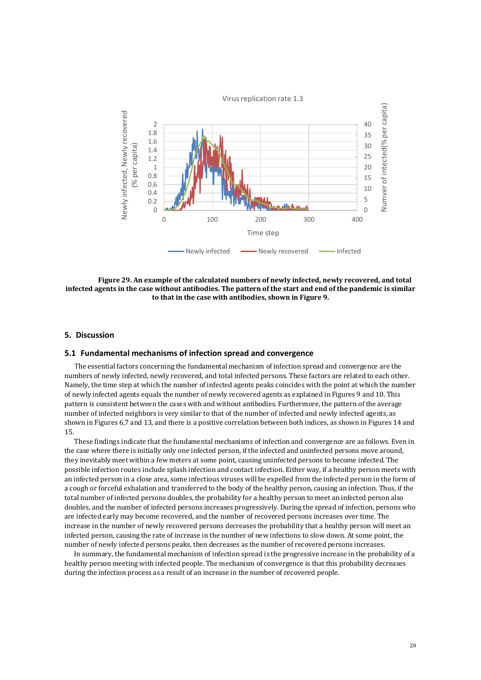

 **Figure 29. An example of the calculated numbers of newly infected, newly recovered, and total infected agents in the case without antibodies. The pattern of the start and end of the pandemic is similar to that in the case with antibodies, shown in Figure 9.**

## **5. Discussion**

## **5.1 Fundamental mechanisms of infection spread and convergence**

The essential factors concerning the fundamental mechanism of infection spread and convergence are the numbers of newly infected, newly recovered, and total infected persons. These factors are related to each other. Namely, the time step at which the number of infected agents peaks coincides with the point at which the number of newly infected agents equals the number of newly recovered agents as explained in Figures 9 and 10. This pattern is consistent between the cases with and without antibodies. Furthermore, the pattern of the average number of infected neighbors is very similar to that of the number of infected and newly infected agents, as shown in Figures 6,7 and 13, and there is a positive correlation between both indices, as shown in Figures 14 and 15.

These findings indicate that the fundamental mechanisms of infection and convergence are as follows. Even in the case where there is initially only one infected person, if the infected and uninfected persons move around, they inevitably meet within a few meters at some point, causing uninfected persons to become infected. The possible infection routes include splash infection and contact infection. Either way, if a healthy person meets with an infected person in a close area, some infectious viruses will be expelled from the infected person in the form of a cough or forceful exhalation and transferred to the body of the healthy person, causing an infection. Thus, if the total number of infected persons doubles, the probability for a healthy person to meet an infected person also doubles, and the number of infected persons increases progressively. During the spread of infection, persons who are infected early may become recovered, and the number of recovered persons increases over time. The increase in the number of newly recovered persons decreases the probability that a healthy person will meet an infected person, causing the rate of increase in the number of new infections to slow down. At some point, the number of newly infected persons peaks, then decreases as the number of recovered persons increases.

In summary, the fundamental mechanism of infection spread is the progressive increase in the probability of a healthy person meeting with infected people. The mechanism of convergence is that this probability decreases during the infection process as a result of an increase in the number of recovered people.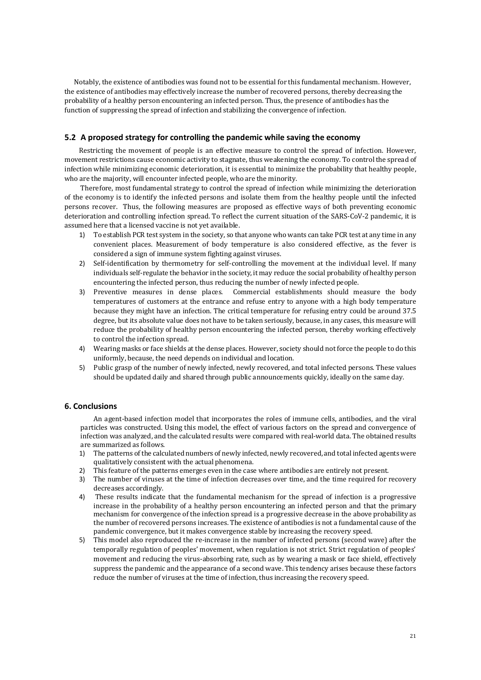Notably, the existence of antibodies was found not to be essential for this fundamental mechanism. However, the existence of antibodies may effectively increase the number of recovered persons, thereby decreasing the probability of a healthy person encountering an infected person. Thus, the presence of antibodies has the function of suppressing the spread of infection and stabilizing the convergence of infection.

## **5.2 A proposed strategy for controlling the pandemic while saving the economy**

Restricting the movement of people is an effective measure to control the spread of infection. However, movement restrictions cause economic activity to stagnate, thus weakening the economy. To control the spread of infection while minimizing economic deterioration, it is essential to minimize the probability that healthy people, who are the majority, will encounter infected people, who are the minority.

Therefore, most fundamental strategy to control the spread of infection while minimizing the deterioration of the economy is to identify the infected persons and isolate them from the healthy people until the infected persons recover. Thus, the following measures are proposed as effective ways of both preventing economic deterioration and controlling infection spread. To reflect the current situation of the SARS-CoV-2 pandemic, it is assumed here that a licensed vaccine is not yet available.

- 1) To establish PCR test system in the society, so that anyone who wants can take PCR test at any time in any convenient places. Measurement of body temperature is also considered effective, as the fever is considered a sign of immune system fighting against viruses.
- 2) Self-identification by thermometry for self-controlling the movement at the individual level. If many individuals self-regulate the behavior in the society, it may reduce the social probability of healthy person encountering the infected person, thus reducing the number of newly infected people.
- 3) Preventive measures in dense places. Commercial establishments should measure the body temperatures of customers at the entrance and refuse entry to anyone with a high body temperature because they might have an infection. The critical temperature for refusing entry could be around 37.5 degree, but its absolute value does not have to be taken seriously, because, in any cases, this measure will reduce the probability of healthy person encountering the infected person, thereby working effectively to control the infection spread.
- 4) Wearing masks or face shields at the dense places. However, society should not force the people to do this uniformly, because, the need depends on individual and location.
- 5) Public grasp of the number of newly infected, newly recovered, and total infected persons. These values should be updated daily and shared through public announcements quickly, ideally on the same day.

## **6. Conclusions**

An agent-based infection model that incorporates the roles of immune cells, antibodies, and the viral particles was constructed. Using this model, the effect of various factors on the spread and convergence of infection was analyzed, and the calculated results were compared with real-world data. The obtained results are summarized as follows.

- 1) The patterns of the calculated numbers of newly infected, newly recovered, and total infected agents were qualitatively consistent with the actual phenomena.
- 
- 2) This feature of the patterns emerges even in the case where antibodies are entirely not present.<br>3) The number of viruses at the time of infection decreases over time, and the time required for i The number of viruses at the time of infection decreases over time, and the time required for recovery decreases accordingly.
- 4) These results indicate that the fundamental mechanism for the spread of infection is a progressive increase in the probability of a healthy person encountering an infected person and that the primary mechanism for convergence of the infection spread is a progressive decrease in the above probability as the number of recovered persons increases. The existence of antibodies is not a fundamental cause of the pandemic convergence, but it makes convergence stable by increasing the recovery speed.
- 5) This model also reproduced the re-increase in the number of infected persons (second wave) after the temporally regulation of peoples' movement, when regulation is not strict. Strict regulation of peoples' movement and reducing the virus-absorbing rate, such as by wearing a mask or face shield, effectively suppress the pandemic and the appearance of a second wave. This tendency arises because these factors reduce the number of viruses at the time of infection, thus increasing the recovery speed.